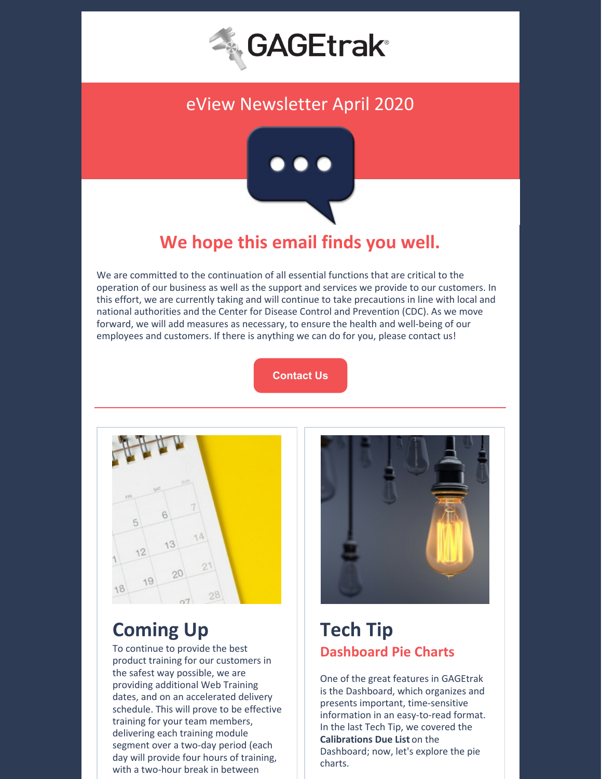

### eView Newsletter April 2020



# **We hope this email finds you well.**

We are committed to the continuation of all essential functions that are critical to the operation of our business as well as the support and services we provide to our customers. In this effort, we are currently taking and will continue to take precautions in line with local and national authorities and the Center for Disease Control and Prevention (CDC). As we move forward, we will add measures as necessary, to ensure the health and well-being of our employees and customers. If there is anything we can do for you, please contact us!

**[Contact](https://gagetrak.com/contact-us/) Us**



# **Coming Up**

To continue to provide the best product training for our customers in the safest way possible, we are providing additional Web Training dates, and on an accelerated delivery schedule. This will prove to be effective training for your team members, delivering each training module segment over a two-day period (each day will provide four hours of training, with a two-hour break in between



## **Tech Tip Dashboard Pie Charts**

One of the great features in GAGEtrak is the Dashboard, which organizes and presents important, time-sensitive information in an easy-to-read format. In the last Tech Tip, we covered the **Calibrations Due List** on the Dashboard; now, let's explore the pie charts.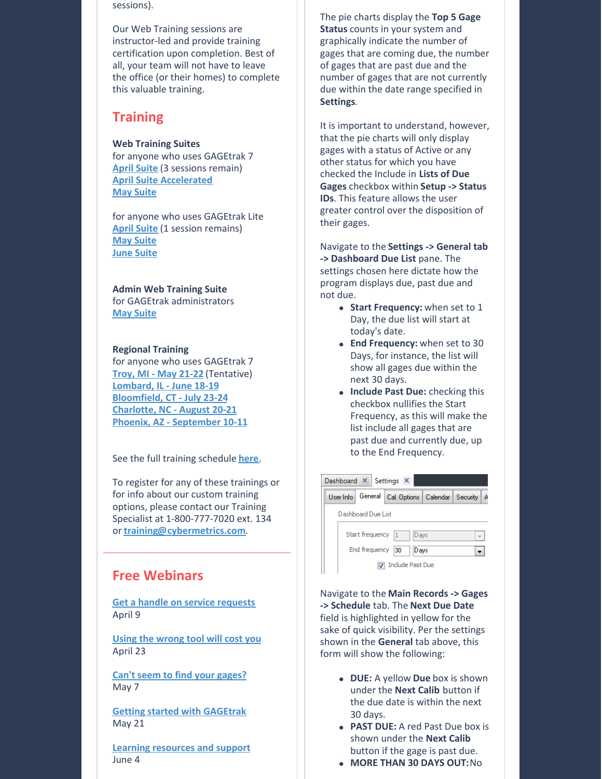sessions).

Our Web Training sessions are instructor-led and provide training certification upon completion. Best of all, your team will not have to leave the office (or their homes) to complete this valuable training.

### **Training**

#### **Web Training Suites**

for anyone who uses GAGEtrak 7 **April [Suite](https://gagetrak.com/wp-content/uploads/GAGEtrak_Web_Training_Suite_April_2020.pdf)** (3 sessions remain) **April Suite [Accelerated](https://gagetrak.com/wp-content/uploads/GAGEtrak_Web_Training_Suite_April_2020_Accelerated.pdf) May [Suite](https://gagetrak.com/wp-content/uploads/GAGEtrak_Web_Training_Suite_May_2020.pdf)**

for anyone who uses GAGEtrak Lite **April [Suite](https://gagetrak.com/wp-content/uploads/GAGEtrak_Lite_Web_Training_Suite_April_2020.pdf)** (1 session remains) **May [Suite](https://gagetrak.com/wp-content/uploads/GAGEtrak_Lite_Web_Training_Suite_May_2020.pdf) June [Suite](https://gagetrak.com/wp-content/uploads/GAGEtrak_Lite_Web_Training_Suite_June_2020.pdf)**

**Admin Web Training Suite**

for GAGEtrak administrators **May [Suite](https://gagetrak.com/wp-content/uploads/GAGEtrak_Admin_Web_Training_Suite_May_2020.pdf)**

#### **Regional Training**

for anyone who uses GAGEtrak 7 **Troy, MI - May [21-22](https://gagetrak.com/wp-content/uploads/GAGEtrak_Training_Troy_v7_May_2020.pdf)** (Tentative) **[Lombard,](https://gagetrak.com/wp-content/uploads/GAGEtrak_Training_Lombard_v7_June_2020.pdf) IL - June 18-19 [Bloomfield,](https://gagetrak.com/wp-content/uploads/GAGEtrak_Training_Bloomfield_v7_July_2020.pdf) CT - July 23-24 [Charlotte,](https://gagetrak.com/wp-content/uploads/GAGEtrak_Training_Charlotte_v7_August_2020.pdf) NC - August 20-21 Phoenix, AZ - [September](https://gagetrak.com/wp-content/uploads/GAGEtrak_Training_Phoenix_v7_September_2020.pdf) 10-11**

See the full training schedule **[here](https://gagetrak.com/training-schedule/)**.

To register for any of these trainings or for info about our custom training options, please contact our Training Specialist at 1-800-777-7020 ext. 134 or **[training@cybermetrics.com](mailto:training@cybermetrics.com)**.

### **Free Webinars**

**Get a handle on service [requests](https://attendee.gotowebinar.com/register/9037438428597638412)** April 9

**Using the [wrong](https://attendee.gotowebinar.com/register/8331322165635317260) tool will cost you** April 23

**Can't seem to find your [gages?](https://attendee.gotowebinar.com/register/7944863620454942989)** May 7

**Getting started with [GAGEtrak](https://attendee.gotowebinar.com/register/2382378220443179277)** May 21

**Learning [resources](https://attendee.gotowebinar.com/register/8674607288786671885) and support** June 4

The pie charts display the **Top 5 Gage Status** counts in your system and graphically indicate the number of gages that are coming due, the number of gages that are past due and the number of gages that are not currently due within the date range specified in **Settings**.

It is important to understand, however, that the pie charts will only display gages with a status of Active or any other status for which you have checked the Include in **Lists of Due Gages** checkbox within **Setup -> Status IDs**. This feature allows the user greater control over the disposition of their gages.

Navigate to the **Settings -> General tab -> Dashboard Due List** pane. The settings chosen here dictate how the program displays due, past due and not due.

- **Start Frequency:** when set to 1 Day, the due list will start at today's date.
- **End Frequency:** when set to 30 Days, for instance, the list will show all gages due within the next 30 days.
- **Include Past Due:** checking this checkbox nullifies the Start Frequency, as this will make the list include all gages that are past due and currently due, up to the End Frequency.



Navigate to the **Main Records -> Gages -> Schedule** tab. The **Next Due Date** field is highlighted in yellow for the sake of quick visibility. Per the settings shown in the **General** tab above, this form will show the following:

- **DUE:** A yellow **Due** box is shown under the **Next Calib** button if the due date is within the next 30 days.
- **PAST DUE:** A red Past Due box is shown under the **Next Calib** button if the gage is past due.
- **MORE THAN 30 DAYS OUT:**No